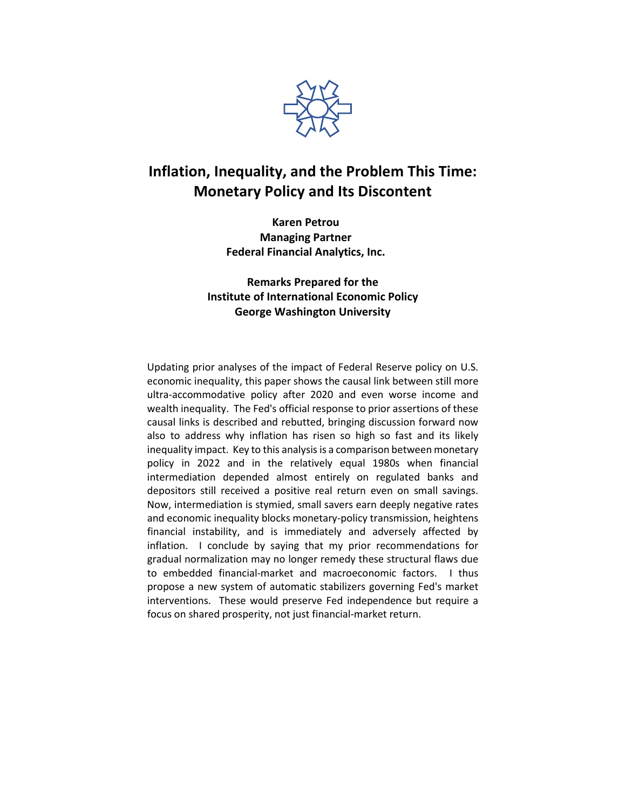

# **Inflation, Inequality, and the Problem This Time: Monetary Policy and Its Discontent**

**Karen Petrou Managing Partner Federal Financial Analytics, Inc.**

**Remarks Prepared for the Institute of International Economic Policy George Washington University**

Updating prior analyses of the impact of Federal Reserve policy on U.S. economic inequality, this paper shows the causal link between still more ultra-accommodative policy after 2020 and even worse income and wealth inequality. The Fed's official response to prior assertions of these causal links is described and rebutted, bringing discussion forward now also to address why inflation has risen so high so fast and its likely inequality impact. Key to this analysis is a comparison between monetary policy in 2022 and in the relatively equal 1980s when financial intermediation depended almost entirely on regulated banks and depositors still received a positive real return even on small savings. Now, intermediation is stymied, small savers earn deeply negative rates and economic inequality blocks monetary-policy transmission, heightens financial instability, and is immediately and adversely affected by inflation. I conclude by saying that my prior recommendations for gradual normalization may no longer remedy these structural flaws due to embedded financial-market and macroeconomic factors. I thus propose a new system of automatic stabilizers governing Fed's market interventions. These would preserve Fed independence but require a focus on shared prosperity, not just financial-market return.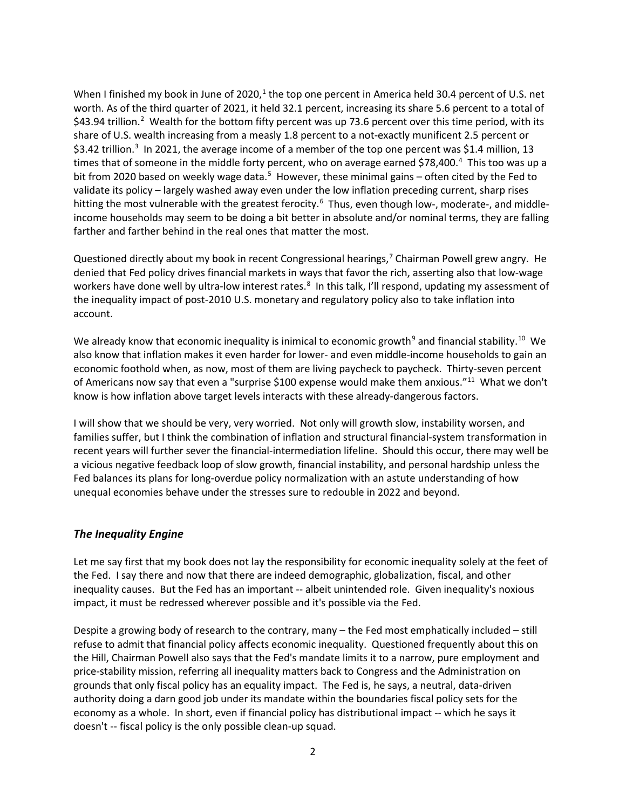When I finished my book in June of 2020, $1$  the top one percent in America held 30.4 percent of U.S. net worth. As of the third quarter of 2021, it held 32.1 percent, increasing its share 5.6 percent to a total of \$43.94 trillion. [2](#page-5-1) Wealth for the bottom fifty percent was up 73.6 percent over this time period, with its share of U.S. wealth increasing from a measly 1.8 percent to a not-exactly munificent 2.5 percent or \$[3](#page-5-2).42 trillion.<sup>3</sup> In 2021, the average income of a member of the top one percent was \$1.4 million, 13 times that of someone in the middle forty percent, who on average earned \$78,[4](#page-5-3)00.<sup>4</sup> This too was up a bit from 2020 based on weekly wage data.<sup>[5](#page-5-4)</sup> However, these minimal gains - often cited by the Fed to validate its policy – largely washed away even under the low inflation preceding current, sharp rises hitting the most vulnerable with the greatest ferocity.<sup>[6](#page-6-0)</sup> Thus, even though low-, moderate-, and middleincome households may seem to be doing a bit better in absolute and/or nominal terms, they are falling farther and farther behind in the real ones that matter the most.

Questioned directly about my book in recent Congressional hearings,<sup>[7](#page-6-1)</sup> Chairman Powell grew angry. He denied that Fed policy drives financial markets in ways that favor the rich, asserting also that low-wage workers have done well by ultra-low interest rates.<sup>[8](#page-6-2)</sup> In this talk, I'll respond, updating my assessment of the inequality impact of post-2010 U.S. monetary and regulatory policy also to take inflation into account.

We already know that economic inequality is inimical to economic growth<sup>[9](#page-6-3)</sup> and financial stability.<sup>10</sup> We also know that inflation makes it even harder for lower- and even middle-income households to gain an economic foothold when, as now, most of them are living paycheck to paycheck. Thirty-seven percent of Americans now say that even a "surprise \$100 expense would make them anxious."<sup>11</sup> What we don't know is how inflation above target levels interacts with these already-dangerous factors.

I will show that we should be very, very worried. Not only will growth slow, instability worsen, and families suffer, but I think the combination of inflation and structural financial-system transformation in recent years will further sever the financial-intermediation lifeline. Should this occur, there may well be a vicious negative feedback loop of slow growth, financial instability, and personal hardship unless the Fed balances its plans for long-overdue policy normalization with an astute understanding of how unequal economies behave under the stresses sure to redouble in 2022 and beyond.

#### *The Inequality Engine*

Let me say first that my book does not lay the responsibility for economic inequality solely at the feet of the Fed. I say there and now that there are indeed demographic, globalization, fiscal, and other inequality causes. But the Fed has an important -- albeit unintended role. Given inequality's noxious impact, it must be redressed wherever possible and it's possible via the Fed.

Despite a growing body of research to the contrary, many – the Fed most emphatically included – still refuse to admit that financial policy affects economic inequality. Questioned frequently about this on the Hill, Chairman Powell also says that the Fed's mandate limits it to a narrow, pure employment and price-stability mission, referring all inequality matters back to Congress and the Administration on grounds that only fiscal policy has an equality impact. The Fed is, he says, a neutral, data-driven authority doing a darn good job under its mandate within the boundaries fiscal policy sets for the economy as a whole. In short, even if financial policy has distributional impact -- which he says it doesn't -- fiscal policy is the only possible clean-up squad.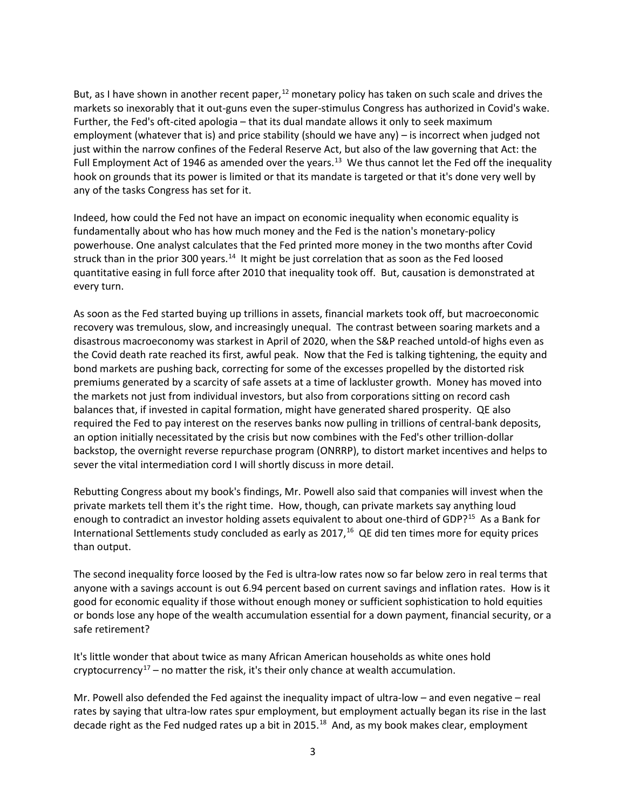But, as I have shown in another recent paper,  $^{12}$  $^{12}$  $^{12}$  monetary policy has taken on such scale and drives the markets so inexorably that it out-guns even the super-stimulus Congress has authorized in Covid's wake. Further, the Fed's oft-cited apologia – that its dual mandate allows it only to seek maximum employment (whatever that is) and price stability (should we have any) – is incorrect when judged not just within the narrow confines of the Federal Reserve Act, but also of the law governing that Act: the Full Employment Act of 1946 as amended over the years.<sup>[13](#page-6-7)</sup> We thus cannot let the Fed off the inequality hook on grounds that its power is limited or that its mandate is targeted or that it's done very well by any of the tasks Congress has set for it.

Indeed, how could the Fed not have an impact on economic inequality when economic equality is fundamentally about who has how much money and the Fed is the nation's monetary-policy powerhouse. One analyst calculates that the Fed printed more money in the two months after Covid struck than in the prior 300 years.<sup>14</sup> It might be just correlation that as soon as the Fed loosed quantitative easing in full force after 2010 that inequality took off. But, causation is demonstrated at every turn.

As soon as the Fed started buying up trillions in assets, financial markets took off, but macroeconomic recovery was tremulous, slow, and increasingly unequal. The contrast between soaring markets and a disastrous macroeconomy was starkest in April of 2020, when the S&P reached untold-of highs even as the Covid death rate reached its first, awful peak. Now that the Fed is talking tightening, the equity and bond markets are pushing back, correcting for some of the excesses propelled by the distorted risk premiums generated by a scarcity of safe assets at a time of lackluster growth. Money has moved into the markets not just from individual investors, but also from corporations sitting on record cash balances that, if invested in capital formation, might have generated shared prosperity. QE also required the Fed to pay interest on the reserves banks now pulling in trillions of central-bank deposits, an option initially necessitated by the crisis but now combines with the Fed's other trillion-dollar backstop, the overnight reverse repurchase program (ONRRP), to distort market incentives and helps to sever the vital intermediation cord I will shortly discuss in more detail.

Rebutting Congress about my book's findings, Mr. Powell also said that companies will invest when the private markets tell them it's the right time. How, though, can private markets say anything loud enough to contradict an investor holding assets equivalent to about one-third of GDP?<sup>[15](#page-6-9)</sup> As a Bank for International Settlements study concluded as early as  $2017<sub>,16</sub>$  $2017<sub>,16</sub>$  $2017<sub>,16</sub>$  QE did ten times more for equity prices than output.

The second inequality force loosed by the Fed is ultra-low rates now so far below zero in real terms that anyone with a savings account is out 6.94 percent based on current savings and inflation rates. How is it good for economic equality if those without enough money or sufficient sophistication to hold equities or bonds lose any hope of the wealth accumulation essential for a down payment, financial security, or a safe retirement?

It's little wonder that about twice as many African American households as white ones hold cryptocurrency<sup>[17](#page-6-11)</sup> – no matter the risk, it's their only chance at wealth accumulation.

Mr. Powell also defended the Fed against the inequality impact of ultra-low – and even negative – real rates by saying that ultra-low rates spur employment, but employment actually began its rise in the last decade right as the Fed nudged rates up a bit in 2015.<sup>18</sup> And, as my book makes clear, employment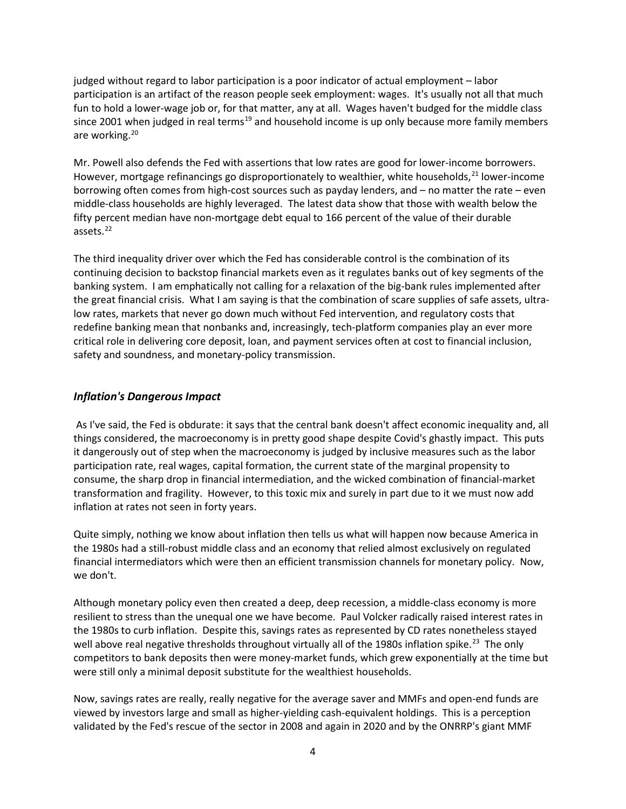judged without regard to labor participation is a poor indicator of actual employment – labor participation is an artifact of the reason people seek employment: wages. It's usually not all that much fun to hold a lower-wage job or, for that matter, any at all. Wages haven't budged for the middle class since 2001 when judged in real terms<sup>[19](#page-6-13)</sup> and household income is up only because more family members are working.<sup>[20](#page-6-14)</sup>

Mr. Powell also defends the Fed with assertions that low rates are good for lower-income borrowers. However, mortgage refinancings go disproportionately to wealthier, white households,  $21$  lower-income borrowing often comes from high-cost sources such as payday lenders, and – no matter the rate – even middle-class households are highly leveraged. The latest data show that those with wealth below the fifty percent median have non-mortgage debt equal to 166 percent of the value of their durable assets.<sup>22</sup>

The third inequality driver over which the Fed has considerable control is the combination of its continuing decision to backstop financial markets even as it regulates banks out of key segments of the banking system. I am emphatically not calling for a relaxation of the big-bank rules implemented after the great financial crisis. What I am saying is that the combination of scare supplies of safe assets, ultralow rates, markets that never go down much without Fed intervention, and regulatory costs that redefine banking mean that nonbanks and, increasingly, tech-platform companies play an ever more critical role in delivering core deposit, loan, and payment services often at cost to financial inclusion, safety and soundness, and monetary-policy transmission.

### *Inflation's Dangerous Impact*

As I've said, the Fed is obdurate: it says that the central bank doesn't affect economic inequality and, all things considered, the macroeconomy is in pretty good shape despite Covid's ghastly impact. This puts it dangerously out of step when the macroeconomy is judged by inclusive measures such as the labor participation rate, real wages, capital formation, the current state of the marginal propensity to consume, the sharp drop in financial intermediation, and the wicked combination of financial-market transformation and fragility. However, to this toxic mix and surely in part due to it we must now add inflation at rates not seen in forty years.

Quite simply, nothing we know about inflation then tells us what will happen now because America in the 1980s had a still-robust middle class and an economy that relied almost exclusively on regulated financial intermediators which were then an efficient transmission channels for monetary policy. Now, we don't.

Although monetary policy even then created a deep, deep recession, a middle-class economy is more resilient to stress than the unequal one we have become. Paul Volcker radically raised interest rates in the 1980s to curb inflation. Despite this, savings rates as represented by CD rates nonetheless stayed well above real negative thresholds throughout virtually all of the 1980s inflation spike.<sup>[23](#page-7-0)</sup> The only competitors to bank deposits then were money-market funds, which grew exponentially at the time but were still only a minimal deposit substitute for the wealthiest households.

Now, savings rates are really, really negative for the average saver and MMFs and open-end funds are viewed by investors large and small as higher-yielding cash-equivalent holdings. This is a perception validated by the Fed's rescue of the sector in 2008 and again in 2020 and by the ONRRP's giant MMF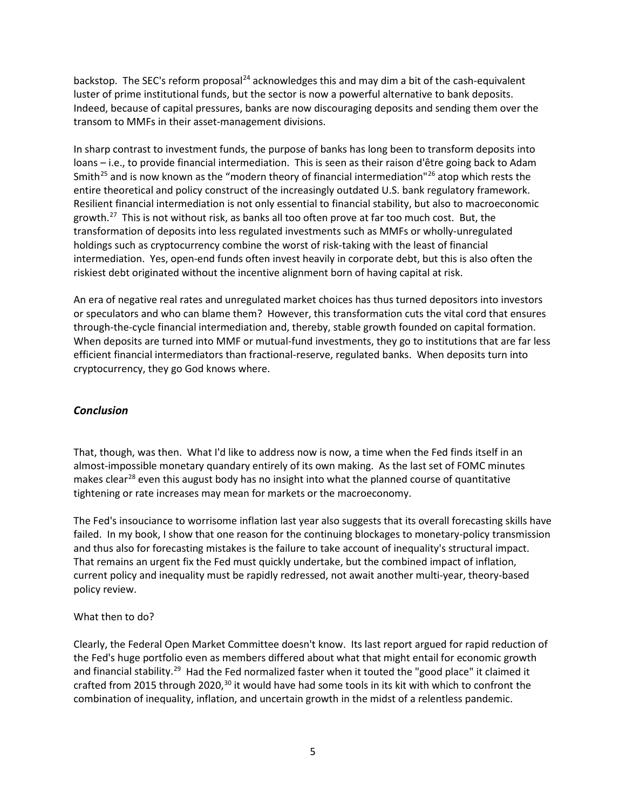backstop. The SEC's reform proposal<sup>[24](#page-7-1)</sup> acknowledges this and may dim a bit of the cash-equivalent luster of prime institutional funds, but the sector is now a powerful alternative to bank deposits. Indeed, because of capital pressures, banks are now discouraging deposits and sending them over the transom to MMFs in their asset-management divisions.

In sharp contrast to investment funds, the purpose of banks has long been to transform deposits into loans – i.e., to provide financial intermediation. This is seen as their raison d'être going back to Adam Smith<sup>[25](#page-7-2)</sup> and is now known as the "modern theory of financial intermediation"<sup>[26](#page-7-3)</sup> atop which rests the entire theoretical and policy construct of the increasingly outdated U.S. bank regulatory framework. Resilient financial intermediation is not only essential to financial stability, but also to macroeconomic growth.<sup>[27](#page-7-4)</sup> This is not without risk, as banks all too often prove at far too much cost. But, the transformation of deposits into less regulated investments such as MMFs or wholly-unregulated holdings such as cryptocurrency combine the worst of risk-taking with the least of financial intermediation. Yes, open-end funds often invest heavily in corporate debt, but this is also often the riskiest debt originated without the incentive alignment born of having capital at risk.

An era of negative real rates and unregulated market choices has thus turned depositors into investors or speculators and who can blame them? However, this transformation cuts the vital cord that ensures through-the-cycle financial intermediation and, thereby, stable growth founded on capital formation. When deposits are turned into MMF or mutual-fund investments, they go to institutions that are far less efficient financial intermediators than fractional-reserve, regulated banks. When deposits turn into cryptocurrency, they go God knows where.

## *Conclusion*

That, though, was then. What I'd like to address now is now, a time when the Fed finds itself in an almost-impossible monetary quandary entirely of its own making. As the last set of FOMC minutes makes clear<sup>[28](#page-7-5)</sup> even this august body has no insight into what the planned course of quantitative tightening or rate increases may mean for markets or the macroeconomy.

The Fed's insouciance to worrisome inflation last year also suggests that its overall forecasting skills have failed. In my book, I show that one reason for the continuing blockages to monetary-policy transmission and thus also for forecasting mistakes is the failure to take account of inequality's structural impact. That remains an urgent fix the Fed must quickly undertake, but the combined impact of inflation, current policy and inequality must be rapidly redressed, not await another multi-year, theory-based policy review.

## What then to do?

Clearly, the Federal Open Market Committee doesn't know. Its last report argued for rapid reduction of the Fed's huge portfolio even as members differed about what that might entail for economic growth and financial stability.<sup>[29](#page-7-6)</sup> Had the Fed normalized faster when it touted the "good place" it claimed it crafted from 2015 through 2020,<sup>30</sup> it would have had some tools in its kit with which to confront the combination of inequality, inflation, and uncertain growth in the midst of a relentless pandemic.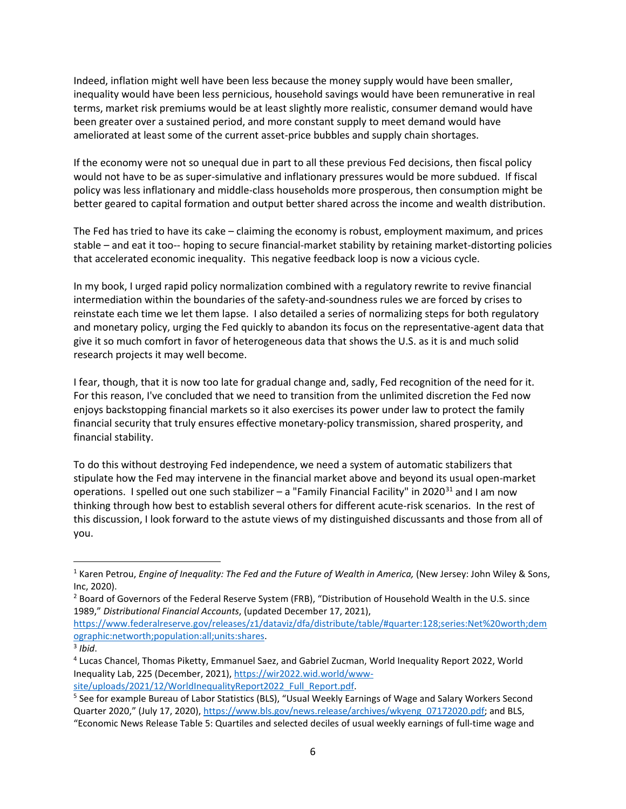Indeed, inflation might well have been less because the money supply would have been smaller, inequality would have been less pernicious, household savings would have been remunerative in real terms, market risk premiums would be at least slightly more realistic, consumer demand would have been greater over a sustained period, and more constant supply to meet demand would have ameliorated at least some of the current asset-price bubbles and supply chain shortages.

If the economy were not so unequal due in part to all these previous Fed decisions, then fiscal policy would not have to be as super-simulative and inflationary pressures would be more subdued. If fiscal policy was less inflationary and middle-class households more prosperous, then consumption might be better geared to capital formation and output better shared across the income and wealth distribution.

The Fed has tried to have its cake – claiming the economy is robust, employment maximum, and prices stable – and eat it too-- hoping to secure financial-market stability by retaining market-distorting policies that accelerated economic inequality. This negative feedback loop is now a vicious cycle.

In my book, I urged rapid policy normalization combined with a regulatory rewrite to revive financial intermediation within the boundaries of the safety-and-soundness rules we are forced by crises to reinstate each time we let them lapse. I also detailed a series of normalizing steps for both regulatory and monetary policy, urging the Fed quickly to abandon its focus on the representative-agent data that give it so much comfort in favor of heterogeneous data that shows the U.S. as it is and much solid research projects it may well become.

I fear, though, that it is now too late for gradual change and, sadly, Fed recognition of the need for it. For this reason, I've concluded that we need to transition from the unlimited discretion the Fed now enjoys backstopping financial markets so it also exercises its power under law to protect the family financial security that truly ensures effective monetary-policy transmission, shared prosperity, and financial stability.

To do this without destroying Fed independence, we need a system of automatic stabilizers that stipulate how the Fed may intervene in the financial market above and beyond its usual open-market operations. I spelled out one such stabilizer – a "Family Financial Facility" in 2020 $31$  and I am now thinking through how best to establish several others for different acute-risk scenarios. In the rest of this discussion, I look forward to the astute views of my distinguished discussants and those from all of you.

<span id="page-5-0"></span><sup>&</sup>lt;sup>1</sup> Karen Petrou, *Engine of Inequality: The Fed and the Future of Wealth in America, (New Jersey: John Wiley & Sons,* Inc, 2020).

<span id="page-5-1"></span><sup>&</sup>lt;sup>2</sup> Board of Governors of the Federal Reserve System (FRB), "Distribution of Household Wealth in the U.S. since 1989," *Distributional Financial Accounts*, (updated December 17, 2021),

[https://www.federalreserve.gov/releases/z1/dataviz/dfa/distribute/table/#quarter:128;series:Net%20worth;dem](https://www.federalreserve.gov/releases/z1/dataviz/dfa/distribute/table/#quarter:128;series:Net%20worth;demographic:networth;population:all;units:shares) [ographic:networth;population:all;units:shares.](https://www.federalreserve.gov/releases/z1/dataviz/dfa/distribute/table/#quarter:128;series:Net%20worth;demographic:networth;population:all;units:shares) 3 *Ibid*.

<span id="page-5-2"></span>

<span id="page-5-3"></span><sup>4</sup> Lucas Chancel, Thomas Piketty, Emmanuel Saez, and Gabriel Zucman, World Inequality Report 2022, World Inequality Lab, 225 (December, 2021), [https://wir2022.wid.world/www](https://wir2022.wid.world/www-site/uploads/2021/12/WorldInequalityReport2022_Full_Report.pdf)[site/uploads/2021/12/WorldInequalityReport2022\\_Full\\_Report.pdf.](https://wir2022.wid.world/www-site/uploads/2021/12/WorldInequalityReport2022_Full_Report.pdf)

<span id="page-5-4"></span><sup>5</sup> See for example Bureau of Labor Statistics (BLS), "Usual Weekly Earnings of Wage and Salary Workers Second Quarter 2020," (July 17, 2020), [https://www.bls.gov/news.release/archives/wkyeng\\_07172020.pdf;](https://www.bls.gov/news.release/archives/wkyeng_07172020.pdf) and BLS,

<sup>&</sup>quot;Economic News Release Table 5: Quartiles and selected deciles of usual weekly earnings of full-time wage and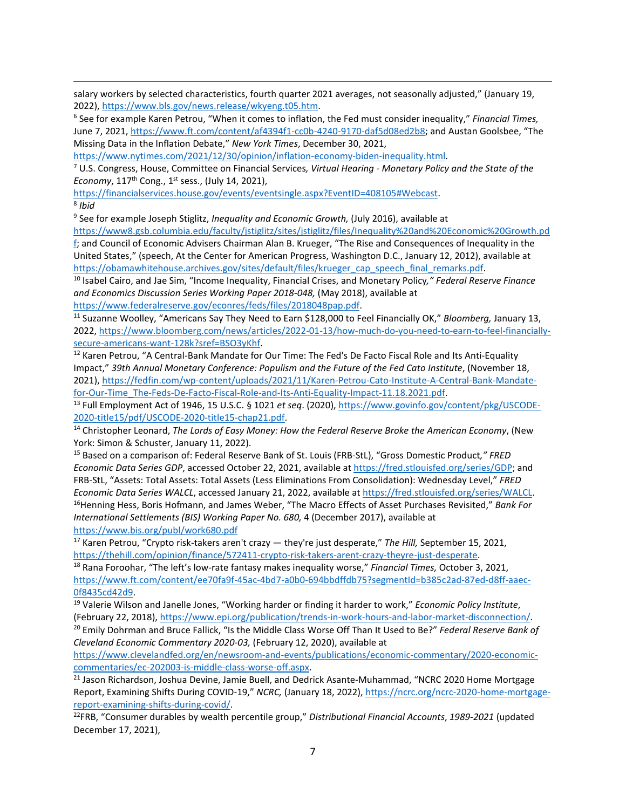salary workers by selected characteristics, fourth quarter 2021 averages, not seasonally adjusted," (January 19, 2022), https://www.bls.gov/news.release/wkyeng.t05.htm.<br><sup>6</sup> See for example Karen Petrou, "When it comes to inflation, the Fed must consider inequality," *Financial Times,* 

<span id="page-6-0"></span>June 7, 2021, [https://www.ft.com/content/af4394f1-cc0b-4240-9170-daf5d08ed2b8;](https://www.ft.com/content/af4394f1-cc0b-4240-9170-daf5d08ed2b8) and Austan Goolsbee, "The Missing Data in the Inflation Debate," *New York Times*, December 30, 2021,

[https://www.nytimes.com/2021/12/30/opinion/inflation-economy-biden-inequality.html.](https://www.nytimes.com/2021/12/30/opinion/inflation-economy-biden-inequality.html)

<span id="page-6-1"></span><sup>7</sup> U.S. Congress, House, Committee on Financial Services*, Virtual Hearing - Monetary Policy and the State of the Economy*, 117<sup>th</sup> Cong., 1<sup>st</sup> sess., (July 14, 2021),

<span id="page-6-2"></span>[https://financialservices.house.gov/events/eventsingle.aspx?EventID=408105#Webcast.](https://financialservices.house.gov/events/eventsingle.aspx?EventID=408105#Webcast) 8 *Ibid*

<span id="page-6-3"></span><sup>9</sup> See for example Joseph Stiglitz, *Inequality and Economic Growth,* (July 2016), available at

[https://www8.gsb.columbia.edu/faculty/jstiglitz/sites/jstiglitz/files/Inequality%20and%20Economic%20Growth.pd](https://www8.gsb.columbia.edu/faculty/jstiglitz/sites/jstiglitz/files/Inequality%20and%20Economic%20Growth.pdf) [f;](https://www8.gsb.columbia.edu/faculty/jstiglitz/sites/jstiglitz/files/Inequality%20and%20Economic%20Growth.pdf) and Council of Economic Advisers Chairman Alan B. Krueger, "The Rise and Consequences of Inequality in the United States," (speech, At the Center for American Progress, Washington D.C., January 12, 2012), available at

<span id="page-6-4"></span>[https://obamawhitehouse.archives.gov/sites/default/files/krueger\\_cap\\_speech\\_final\\_remarks.pdf.](https://obamawhitehouse.archives.gov/sites/default/files/krueger_cap_speech_final_remarks.pdf) 10 Isabel Cairo, and Jae Sim, "Income Inequality, Financial Crises, and Monetary Policy*," Federal Reserve Finance and Economics Discussion Series Working Paper 2018-048,* (May 2018), available at

<span id="page-6-5"></span>[https://www.federalreserve.gov/econres/feds/files/2018048pap.pdf.](https://www.federalreserve.gov/econres/feds/files/2018048pap.pdf) 11 Suzanne Woolley, "Americans Say They Need to Earn \$128,000 to Feel Financially OK," *Bloomberg,* January 13, 2022, [https://www.bloomberg.com/news/articles/2022-01-13/how-much-do-you-need-to-earn-to-feel-financially](https://www.bloomberg.com/news/articles/2022-01-13/how-much-do-you-need-to-earn-to-feel-financially-secure-americans-want-128k?sref=BSO3yKhf)[secure-americans-want-128k?sref=BSO3yKhf.](https://www.bloomberg.com/news/articles/2022-01-13/how-much-do-you-need-to-earn-to-feel-financially-secure-americans-want-128k?sref=BSO3yKhf)<br><sup>12</sup> Karen Petrou, "A Central-Bank Mandate for Our Time: The Fed's De Facto Fiscal Role and Its Anti-Equality

<span id="page-6-6"></span>Impact," *39th Annual Monetary Conference: Populism and the Future of the Fed Cato Institute*, (November 18, 2021), [https://fedfin.com/wp-content/uploads/2021/11/Karen-Petrou-Cato-Institute-A-Central-Bank-Mandate-](https://fedfin.com/wp-content/uploads/2021/11/Karen-Petrou-Cato-Institute-A-Central-Bank-Mandate-for-Our-Time_The-Feds-De-Facto-Fiscal-Role-and-Its-Anti-Equality-Impact-11.18.2021.pdf)

<span id="page-6-7"></span>[for-Our-Time\\_The-Feds-De-Facto-Fiscal-Role-and-Its-Anti-Equality-Impact-11.18.2021.pdf.](https://fedfin.com/wp-content/uploads/2021/11/Karen-Petrou-Cato-Institute-A-Central-Bank-Mandate-for-Our-Time_The-Feds-De-Facto-Fiscal-Role-and-Its-Anti-Equality-Impact-11.18.2021.pdf) 13 Full Employment Act of 1946, 15 U.S.C. § <sup>1021</sup> *et seq*. (2020), [https://www.govinfo.gov/content/pkg/USCODE-](https://www.govinfo.gov/content/pkg/USCODE-2020-title15/pdf/USCODE-2020-title15-chap21.pdf)[2020-title15/pdf/USCODE-2020-title15-chap21.pdf.](https://www.govinfo.gov/content/pkg/USCODE-2020-title15/pdf/USCODE-2020-title15-chap21.pdf) 14 Christopher Leonard, *The Lords of Easy Money: How the Federal Reserve Broke the American Economy*, (New

<span id="page-6-8"></span>York: Simon & Schuster, January 11, 2022).

<span id="page-6-9"></span><sup>15</sup> Based on a comparison of: Federal Reserve Bank of St. Louis (FRB-StL), "Gross Domestic Product*," FRED Economic Data Series GDP*, accessed October 22, 2021, available at [https://fred.stlouisfed.org/series/GDP;](https://fred.stlouisfed.org/series/GDP) and FRB-StL, "Assets: Total Assets: Total Assets (Less Eliminations From Consolidation): Wednesday Level," *FRED Economic Data Series WALCL*, accessed January 21, 2022, available at [https://fred.stlouisfed.org/series/WALCL.](https://fred.stlouisfed.org/series/WALCL) 16Henning Hess, Boris Hofmann, and James Weber, "The Macro Effects of Asset Purchases Revisited," *Bank For International Settlements (BIS) Working Paper No. 680,* 4 (December 2017), available at <https://www.bis.org/publ/work680.pdf>

<span id="page-6-11"></span><span id="page-6-10"></span><sup>17</sup> Karen Petrou, "Crypto risk-takers aren't crazy — they're just desperate," *The Hill,* September 15, 2021, [https://thehill.com/opinion/finance/572411-crypto-risk-takers-arent-crazy-theyre-just-desperate.](https://thehill.com/opinion/finance/572411-crypto-risk-takers-arent-crazy-theyre-just-desperate) 18 Rana Foroohar, "The left's low-rate fantasy makes inequality worse," *Financial Times,* October 3, 2021,

<span id="page-6-12"></span>[https://www.ft.com/content/ee70fa9f-45ac-4bd7-a0b0-694bbdffdb75?segmentId=b385c2ad-87ed-d8ff-aaec-](https://www.ft.com/content/ee70fa9f-45ac-4bd7-a0b0-694bbdffdb75?segmentId=b385c2ad-87ed-d8ff-aaec-0f8435cd42d9)[0f8435cd42d9.](https://www.ft.com/content/ee70fa9f-45ac-4bd7-a0b0-694bbdffdb75?segmentId=b385c2ad-87ed-d8ff-aaec-0f8435cd42d9) 19 Valerie Wilson and Janelle Jones, "Working harder or finding it harder to work," *Economic Policy Institute*,

<span id="page-6-13"></span>(February 22, 2018)[, https://www.epi.org/publication/trends-in-work-hours-and-labor-market-disconnection/.](https://www.epi.org/publication/trends-in-work-hours-and-labor-market-disconnection/)<br><sup>20</sup> Emily Dohrman and Bruce Fallick, "Is the Middle Class Worse Off Than It Used to Be?" Federal Reserve Bank of

<span id="page-6-14"></span>*Cleveland Economic Commentary 2020-03,* (February 12, 2020), available at

[https://www.clevelandfed.org/en/newsroom-and-events/publications/economic-commentary/2020-economic](https://www.clevelandfed.org/en/newsroom-and-events/publications/economic-commentary/2020-economic-commentaries/ec-202003-is-middle-class-worse-off.aspx)[commentaries/ec-202003-is-middle-class-worse-off.aspx.](https://www.clevelandfed.org/en/newsroom-and-events/publications/economic-commentary/2020-economic-commentaries/ec-202003-is-middle-class-worse-off.aspx)<br><sup>21</sup> Jason Richardson, Joshua Devine, Jamie Buell, and Dedrick Asante-Muhammad, "NCRC 2020 Home Mortgage

<span id="page-6-15"></span>Report, Examining Shifts During COVID-19," *NCRC,* (January 18, 2022), [https://ncrc.org/ncrc-2020-home-mortgage](https://ncrc.org/ncrc-2020-home-mortgage-report-examining-shifts-during-covid/)[report-examining-shifts-during-covid/.](https://ncrc.org/ncrc-2020-home-mortgage-report-examining-shifts-during-covid/) 22FRB, "Consumer durables by wealth percentile group," *Distributional Financial Accounts*, *1989-2021* (updated

<span id="page-6-16"></span>December 17, 2021),